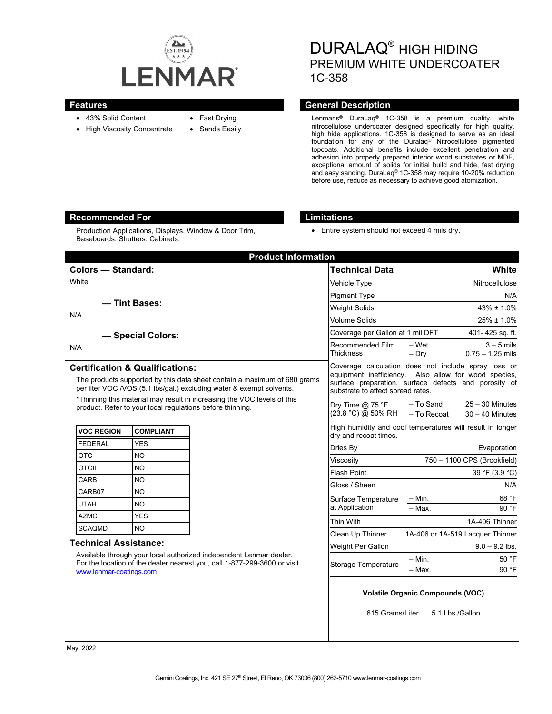

- 43% Solid Content
- High Viscosity Concentrate
- Fast Drying
- Sands Easily

DURALAQ® HIGH HIDING PREMIUM WHITE UNDERCOATER 1C-358

## **Features Features General Description**

Lenmar's® DuraLaq® 1C-358 is a premium quality, white nitrocellulose undercoater designed specifically for high quality, high hide applications. 1C-358 is designed to serve as an ideal foundation for any of the Duralaq® Nitrocellulose pigmented topcoats. Additional benefits include excellent penetration and adhesion into properly prepared interior wood substrates or MDF, exceptional amount of solids for initial build and hide, fast drying and easy sanding. DuraLaq® 1C-358 may require 10-20% reduction before use, reduce as necessary to achieve good atomization.

## **Recommended For Limitations**

Production Applications, Displays, Window & Door Trim, Baseboards, Shutters, Cabinets.

• Entire system should not exceed 4 mils dry.

| <b>Product Information</b>                                                                                                                                                                                                                                                |                  |                  |                                                                                                                                                                                                          |                                                                    |
|---------------------------------------------------------------------------------------------------------------------------------------------------------------------------------------------------------------------------------------------------------------------------|------------------|------------------|----------------------------------------------------------------------------------------------------------------------------------------------------------------------------------------------------------|--------------------------------------------------------------------|
| <b>Colors - Standard:</b>                                                                                                                                                                                                                                                 |                  |                  | <b>Technical Data</b>                                                                                                                                                                                    | White                                                              |
| White                                                                                                                                                                                                                                                                     |                  |                  | Vehicle Type                                                                                                                                                                                             | Nitrocellulose                                                     |
|                                                                                                                                                                                                                                                                           |                  |                  | <b>Pigment Type</b>                                                                                                                                                                                      | N/A                                                                |
| - Tint Bases:<br>N/A                                                                                                                                                                                                                                                      |                  |                  | <b>Weight Solids</b>                                                                                                                                                                                     | $43\% \pm 1.0\%$                                                   |
|                                                                                                                                                                                                                                                                           |                  |                  | <b>Volume Solids</b>                                                                                                                                                                                     | $25\% \pm 1.0\%$                                                   |
| - Special Colors:                                                                                                                                                                                                                                                         |                  |                  | Coverage per Gallon at 1 mil DFT                                                                                                                                                                         | 401-425 sq. ft.                                                    |
| N/A                                                                                                                                                                                                                                                                       |                  |                  | Recommended Film<br><b>Thickness</b>                                                                                                                                                                     | $3 - 5$ mils<br>– Wet<br>$0.75 - 1.25$ mils<br>$-$ Drv             |
| <b>Certification &amp; Qualifications:</b><br>The products supported by this data sheet contain a maximum of 680 grams<br>per liter VOC /VOS (5.1 lbs/gal.) excluding water & exempt solvents.<br>*Thinning this material may result in increasing the VOC levels of this |                  |                  | Coverage calculation does not include spray loss or<br>equipment inefficiency. Also allow for wood species,<br>surface preparation, surface defects and porosity of<br>substrate to affect spread rates. |                                                                    |
| product. Refer to your local regulations before thinning.                                                                                                                                                                                                                 |                  |                  | Dry Time $@$ 75 °F<br>(23.8 °C) @ 50% RH                                                                                                                                                                 | $25 - 30$ Minutes<br>– To Sand<br>- To Recoat<br>$30 - 40$ Minutes |
| <b>VOC REGION</b>                                                                                                                                                                                                                                                         | <b>COMPLIANT</b> |                  | dry and recoat times.                                                                                                                                                                                    | High humidity and cool temperatures will result in longer          |
| <b>FEDERAL</b>                                                                                                                                                                                                                                                            | YES              |                  | Dries By                                                                                                                                                                                                 | Evaporation                                                        |
| <b>OTC</b>                                                                                                                                                                                                                                                                | <b>NO</b>        |                  | Viscosity                                                                                                                                                                                                | 750 - 1100 CPS (Brookfield)                                        |
| <b>OTCII</b>                                                                                                                                                                                                                                                              | <b>NO</b>        |                  | <b>Flash Point</b>                                                                                                                                                                                       | 39 °F (3.9 °C)                                                     |
| <b>CARB</b>                                                                                                                                                                                                                                                               | NO               |                  | Gloss / Sheen                                                                                                                                                                                            | N/A                                                                |
| CARB07                                                                                                                                                                                                                                                                    | <b>NO</b>        |                  | Surface Temperature<br>at Application                                                                                                                                                                    | 68 °F<br>$- Min.$                                                  |
| <b>UTAH</b>                                                                                                                                                                                                                                                               | NO.              |                  |                                                                                                                                                                                                          | $-$ Max.<br>90 °F                                                  |
| <b>AZMC</b>                                                                                                                                                                                                                                                               | YES              |                  | <b>Thin With</b>                                                                                                                                                                                         | 1A-406 Thinner                                                     |
| <b>SCAQMD</b><br><b>NO</b>                                                                                                                                                                                                                                                |                  | Clean Up Thinner | 1A-406 or 1A-519 Lacquer Thinner                                                                                                                                                                         |                                                                    |
| <b>Technical Assistance:</b><br>Available through your local authorized independent Lenmar dealer.<br>For the location of the dealer nearest you, call 1-877-299-3600 or visit<br>www.lenmar-coatings.com                                                                 |                  |                  | Weight Per Gallon                                                                                                                                                                                        | $9.0 - 9.2$ lbs.                                                   |
|                                                                                                                                                                                                                                                                           |                  |                  | Storage Temperature                                                                                                                                                                                      | 50 °F<br>– Min.                                                    |
|                                                                                                                                                                                                                                                                           |                  |                  |                                                                                                                                                                                                          | 90 $\overline{F}$<br>- Max.                                        |
|                                                                                                                                                                                                                                                                           |                  |                  | <b>Volatile Organic Compounds (VOC)</b><br>615 Grams/Liter<br>5.1 Lbs./Gallon                                                                                                                            |                                                                    |